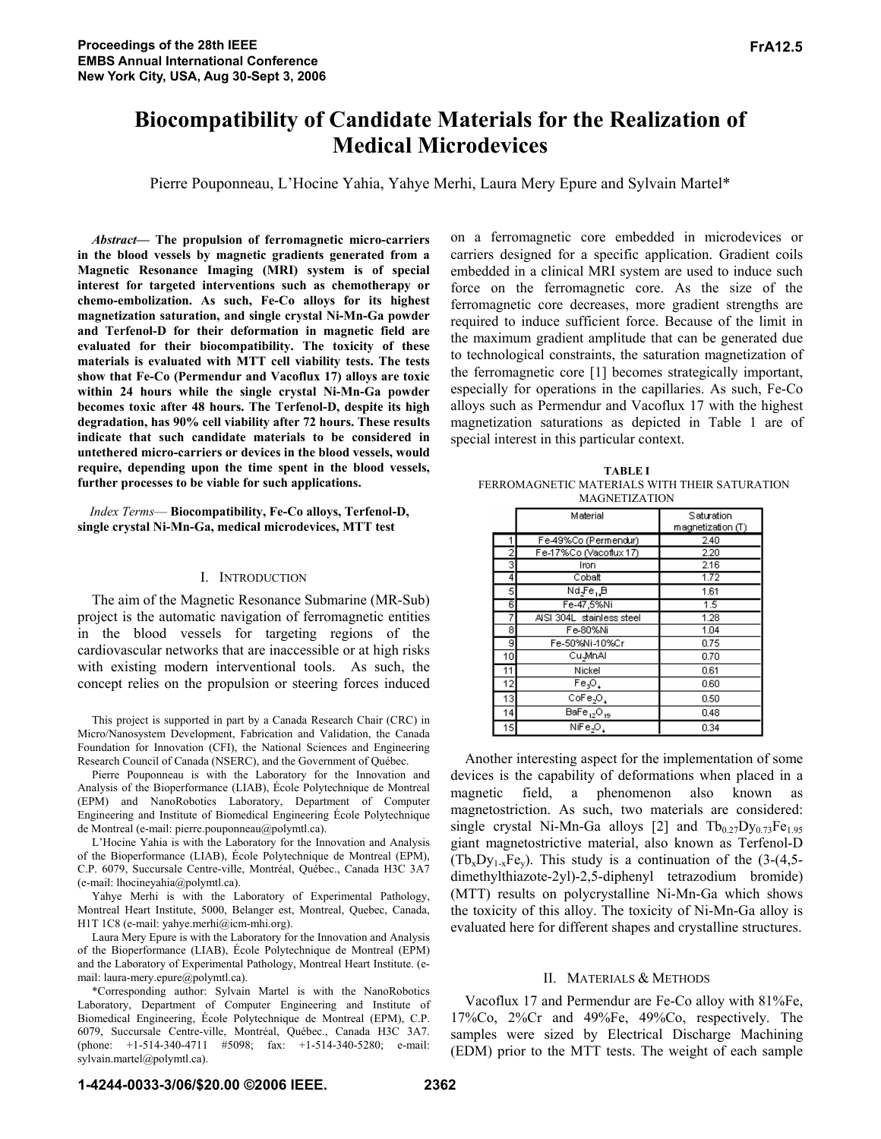# **Biocompatibility of Candidate Materials for the Realization of Medical Microdevices**

Pierre Pouponneau, L'Hocine Yahia, Yahye Merhi, Laura Mery Epure and Sylvain Martel\*

*Abstract***ó The propulsion of ferromagnetic micro-carriers in the blood vessels by magnetic gradients generated from a Magnetic Resonance Imaging (MRI) system is of special interest for targeted interventions such as chemotherapy or chemo-embolization. As such, Fe-Co alloys for its highest magnetization saturation, and single crystal Ni-Mn-Ga powder and Terfenol-D for their deformation in magnetic field are evaluated for their biocompatibility. The toxicity of these materials is evaluated with MTT cell viability tests. The tests show that Fe-Co (Permendur and Vacoflux 17) alloys are toxic within 24 hours while the single crystal Ni-Mn-Ga powder becomes toxic after 48 hours. The Terfenol-D, despite its high degradation, has 90% cell viability after 72 hours. These results indicate that such candidate materials to be considered in untethered micro-carriers or devices in the blood vessels, would require, depending upon the time spent in the blood vessels, further processes to be viable for such applications.** 

*Index Terms*— Biocompatibility, Fe-Co alloys, Terfenol-D, **single crystal Ni-Mn-Ga, medical microdevices, MTT test**

### I. INTRODUCTION

The aim of the Magnetic Resonance Submarine (MR-Sub) project is the automatic navigation of ferromagnetic entities in the blood vessels for targeting regions of the cardiovascular networks that are inaccessible or at high risks with existing modern interventional tools. As such, the concept relies on the propulsion or steering forces induced

This project is supported in part by a Canada Research Chair (CRC) in Micro/Nanosystem Development, Fabrication and Validation, the Canada Foundation for Innovation (CFI), the National Sciences and Engineering Research Council of Canada (NSERC), and the Government of Québec.

Pierre Pouponneau is with the Laboratory for the Innovation and Analysis of the Bioperformance (LIAB), École Polytechnique de Montreal (EPM) and NanoRobotics Laboratory, Department of Computer Engineering and Institute of Biomedical Engineering École Polytechnique de Montreal (e-mail: pierre.pouponneau@polymtl.ca).

L'Hocine Yahia is with the Laboratory for the Innovation and Analysis of the Bioperformance (LIAB), École Polytechnique de Montreal (EPM), C.P. 6079, Succursale Centre-ville, Montréal, Québec., Canada H3C 3A7 (e-mail: lhocineyahia@polymtl.ca).

Yahye Merhi is with the Laboratory of Experimental Pathology, Montreal Heart Institute, 5000, Belanger est, Montreal, Quebec, Canada, H1T 1C8 (e-mail: yahye.merhi@icm-mhi.org).

Laura Mery Epure is with the Laboratory for the Innovation and Analysis of the Bioperformance (LIAB), École Polytechnique de Montreal (EPM) and the Laboratory of Experimental Pathology, Montreal Heart Institute. (email: laura-mery.epure@polymtl.ca).

\*Corresponding author: Sylvain Martel is with the NanoRobotics Laboratory, Department of Computer Engineering and Institute of Biomedical Engineering, École Polytechnique de Montreal (EPM), C.P. 6079, Succursale Centre-ville, Montréal, Québec., Canada H3C 3A7. (phone: +1-514-340-4711 #5098; fax: +1-514-340-5280; e-mail: sylvain.martel@polymtl.ca).

on a ferromagnetic core embedded in microdevices or carriers designed for a specific application. Gradient coils embedded in a clinical MRI system are used to induce such force on the ferromagnetic core. As the size of the ferromagnetic core decreases, more gradient strengths are required to induce sufficient force. Because of the limit in the maximum gradient amplitude that can be generated due to technological constraints, the saturation magnetization of the ferromagnetic core [1] becomes strategically important, especially for operations in the capillaries. As such, Fe-Co alloys such as Permendur and Vacoflux 17 with the highest magnetization saturations as depicted in Table 1 are of special interest in this particular context.

| <b>TABLE I</b>                                |  |  |
|-----------------------------------------------|--|--|
| FERROMAGNETIC MATERIALS WITH THEIR SATURATION |  |  |
| <b>MAGNETIZATION</b>                          |  |  |

|    | Material                                        | Saturation<br>magnetization (T) |
|----|-------------------------------------------------|---------------------------------|
|    | Fe-49%Co (Permendur)                            | 2.40                            |
| 2  | Fe-17%Co (Vacoflux 17)                          | 2.20                            |
| 3  | Iron                                            | 2.16                            |
| 4  | Cobalt                                          | 1.72                            |
| 5  | Nd Fe <sub>u</sub> B                            | 1.61                            |
| 6  | Fe-47,5%Ni                                      | $\overline{1.5}$                |
| 7  | AISI 304L stainless steel                       | 1.28                            |
| 8  | Fe-80%Ni                                        | 1.04                            |
| g  | Fe-50%Ni-10%Cr                                  | 0.75                            |
| 10 | Cu <sub>-</sub> MnAl                            | 0.70                            |
| 11 | Nickel                                          | 0.61                            |
| 12 | Fe.O.                                           | 0.60                            |
| 13 | $CoFe2O+$                                       | 0.50                            |
| 14 | $\overline{\mathsf{BaFe}_{12} \mathsf{O}_{19}}$ | 0.48                            |
| 15 | $N$ iFe <sub>2</sub> O <sub>1</sub>             | 0.34                            |

Another interesting aspect for the implementation of some devices is the capability of deformations when placed in a magnetic field, a phenomenon also known as magnetostriction. As such, two materials are considered: single crystal Ni-Mn-Ga alloys [2] and  $Tb_{0.27}Dy_{0.73}Fe_{1.95}$ giant magnetostrictive material, also known as Terfenol-D  $(Tb_xDy_{1-x}Fe_y)$ . This study is a continuation of the  $(3-(4,5$ dimethylthiazote-2yl)-2,5-diphenyl tetrazodium bromide) (MTT) results on polycrystalline Ni-Mn-Ga which shows the toxicity of this alloy. The toxicity of Ni-Mn-Ga alloy is evaluated here for different shapes and crystalline structures.

### II. MATERIALS & METHODS

Vacoflux 17 and Permendur are Fe-Co alloy with 81%Fe, 17%Co, 2%Cr and 49%Fe, 49%Co, respectively. The samples were sized by Electrical Discharge Machining (EDM) prior to the MTT tests. The weight of each sample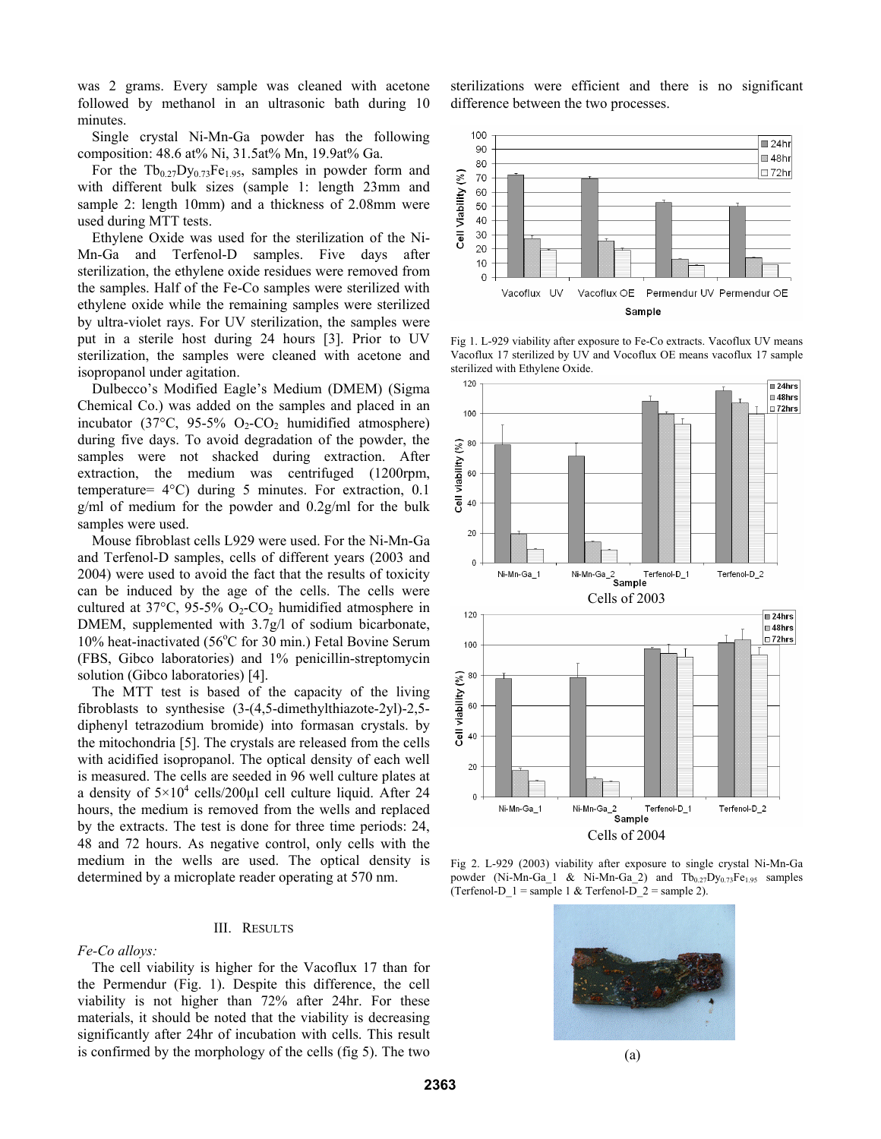was 2 grams. Every sample was cleaned with acetone followed by methanol in an ultrasonic bath during 10 minutes.

Single crystal Ni-Mn-Ga powder has the following composition: 48.6 at% Ni, 31.5at% Mn, 19.9at% Ga.

For the  $Tb_{0.27}Dy_{0.73}Fe_{1.95}$ , samples in powder form and with different bulk sizes (sample 1: length 23mm and sample 2: length 10mm) and a thickness of 2.08mm were used during MTT tests.

Ethylene Oxide was used for the sterilization of the Ni-Mn-Ga and Terfenol-D samples. Five days after sterilization, the ethylene oxide residues were removed from the samples. Half of the Fe-Co samples were sterilized with ethylene oxide while the remaining samples were sterilized by ultra-violet rays. For UV sterilization, the samples were put in a sterile host during 24 hours [3]. Prior to UV sterilization, the samples were cleaned with acetone and isopropanol under agitation.

Dulbecco's Modified Eagle's Medium (DMEM) (Sigma Chemical Co.) was added on the samples and placed in an incubator (37 $\degree$ C, 95-5% O<sub>2</sub>-CO<sub>2</sub> humidified atmosphere) during five days. To avoid degradation of the powder, the samples were not shacked during extraction. After extraction, the medium was centrifuged (1200rpm, temperature= 4°C) during 5 minutes. For extraction, 0.1 g/ml of medium for the powder and 0.2g/ml for the bulk samples were used.

Mouse fibroblast cells L929 were used. For the Ni-Mn-Ga and Terfenol-D samples, cells of different years (2003 and 2004) were used to avoid the fact that the results of toxicity can be induced by the age of the cells. The cells were cultured at 37°C, 95-5%  $O_2$ -CO<sub>2</sub> humidified atmosphere in DMEM, supplemented with 3.7g/l of sodium bicarbonate, 10% heat-inactivated (56°C for 30 min.) Fetal Bovine Serum (FBS, Gibco laboratories) and 1% penicillin-streptomycin solution (Gibco laboratories) [4].

The MTT test is based of the capacity of the living fibroblasts to synthesise (3-(4,5-dimethylthiazote-2yl)-2,5 diphenyl tetrazodium bromide) into formasan crystals. by the mitochondria [5]. The crystals are released from the cells with acidified isopropanol. The optical density of each well is measured. The cells are seeded in 96 well culture plates at a density of  $5 \times 10^4$  cells/200 $\mu$ l cell culture liquid. After 24 hours, the medium is removed from the wells and replaced by the extracts. The test is done for three time periods: 24, 48 and 72 hours. As negative control, only cells with the medium in the wells are used. The optical density is determined by a microplate reader operating at 570 nm.

#### III. RESULTS

*Fe-Co alloys:* 

The cell viability is higher for the Vacoflux 17 than for the Permendur (Fig. 1). Despite this difference, the cell viability is not higher than 72% after 24hr. For these materials, it should be noted that the viability is decreasing significantly after 24hr of incubation with cells. This result is confirmed by the morphology of the cells (fig 5). The two

sterilizations were efficient and there is no significant difference between the two processes.



Fig 1. L-929 viability after exposure to Fe-Co extracts. Vacoflux UV means Vacoflux 17 sterilized by UV and Vocoflux OE means vacoflux 17 sample sterilized with Ethylene Oxide.



Fig 2. L-929 (2003) viability after exposure to single crystal Ni-Mn-Ga powder (Ni-Mn-Ga\_1 & Ni-Mn-Ga\_2) and  $Tb_{0.27}Dy_{0.73}Fe_{1.95}$  samples (Terfenol-D\_1 = sample 1 & Terfenol-D\_2 = sample 2).

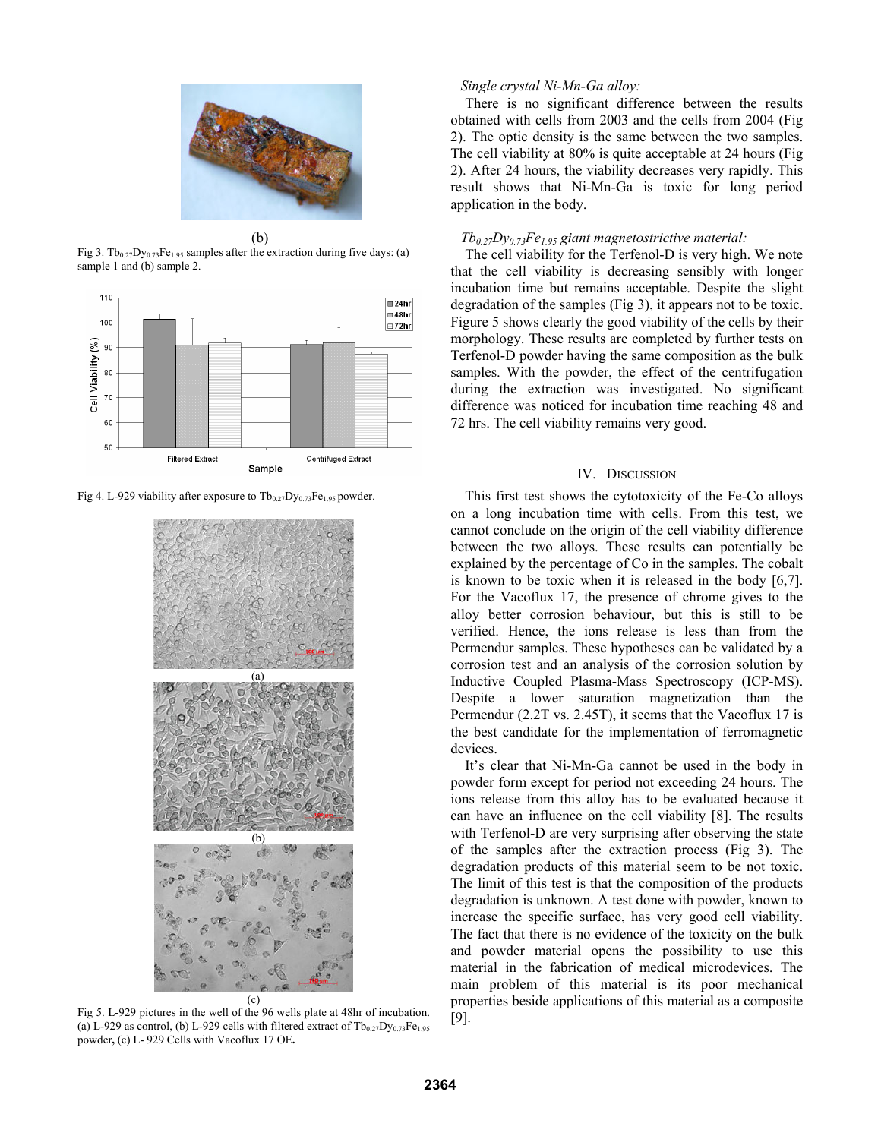

 (b) Fig 3. Tb<sub>0.27</sub>Dy<sub>0.73</sub>Fe<sub>1.95</sub> samples after the extraction during five days: (a) sample 1 and (b) sample 2.



Fig 4. L-929 viability after exposure to  $Tb_{0.27}Dy_{0.73}Fe_{1.95}$  powder.



Fig 5. L-929 pictures in the well of the 96 wells plate at 48hr of incubation. (a) L-929 as control, (b) L-929 cells with filtered extract of  $Tb_{0.27}Dy_{0.73}Fe_{1.95}$ powder**,** (c) L- 929 Cells with Vacoflux 17 OE**.** 

#### *Single crystal Ni-Mn-Ga alloy:*

There is no significant difference between the results obtained with cells from 2003 and the cells from 2004 (Fig 2). The optic density is the same between the two samples. The cell viability at 80% is quite acceptable at 24 hours (Fig 2). After 24 hours, the viability decreases very rapidly. This result shows that Ni-Mn-Ga is toxic for long period application in the body.

## *Tb0.27Dy0.73Fe1.95 giant magnetostrictive material:*

The cell viability for the Terfenol-D is very high. We note that the cell viability is decreasing sensibly with longer incubation time but remains acceptable. Despite the slight degradation of the samples (Fig 3), it appears not to be toxic. Figure 5 shows clearly the good viability of the cells by their morphology. These results are completed by further tests on Terfenol-D powder having the same composition as the bulk samples. With the powder, the effect of the centrifugation during the extraction was investigated. No significant difference was noticed for incubation time reaching 48 and 72 hrs. The cell viability remains very good.

## IV. DISCUSSION

This first test shows the cytotoxicity of the Fe-Co alloys on a long incubation time with cells. From this test, we cannot conclude on the origin of the cell viability difference between the two alloys. These results can potentially be explained by the percentage of Co in the samples. The cobalt is known to be toxic when it is released in the body [6,7]. For the Vacoflux 17, the presence of chrome gives to the alloy better corrosion behaviour, but this is still to be verified. Hence, the ions release is less than from the Permendur samples. These hypotheses can be validated by a corrosion test and an analysis of the corrosion solution by Inductive Coupled Plasma-Mass Spectroscopy (ICP-MS). Despite a lower saturation magnetization than the Permendur (2.2T vs. 2.45T), it seems that the Vacoflux 17 is the best candidate for the implementation of ferromagnetic devices.

It's clear that Ni-Mn-Ga cannot be used in the body in powder form except for period not exceeding 24 hours. The ions release from this alloy has to be evaluated because it can have an influence on the cell viability [8]. The results with Terfenol-D are very surprising after observing the state of the samples after the extraction process (Fig 3). The degradation products of this material seem to be not toxic. The limit of this test is that the composition of the products degradation is unknown. A test done with powder, known to increase the specific surface, has very good cell viability. The fact that there is no evidence of the toxicity on the bulk and powder material opens the possibility to use this material in the fabrication of medical microdevices. The main problem of this material is its poor mechanical properties beside applications of this material as a composite [9].